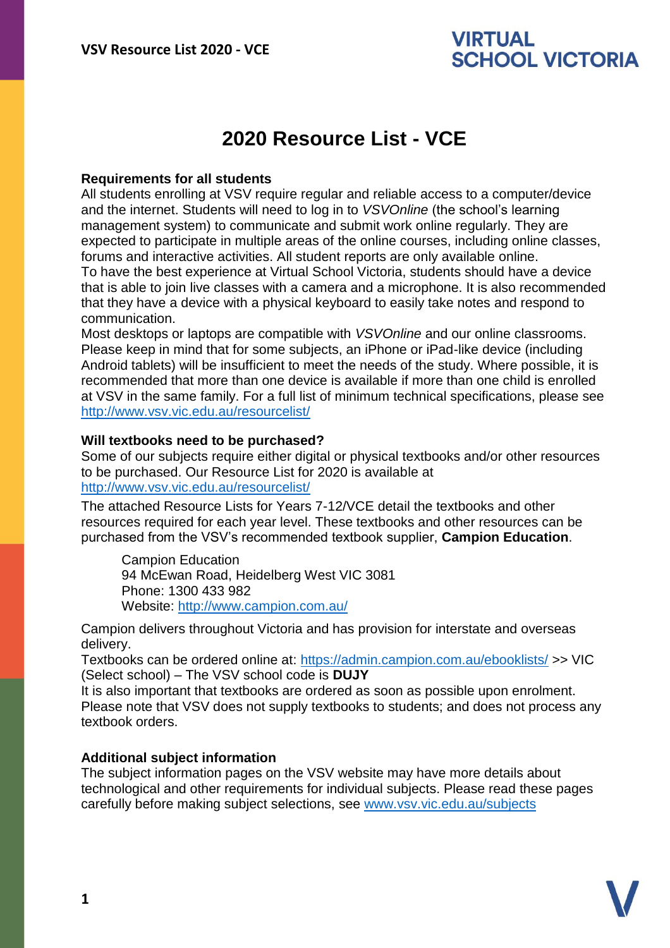#### **2020 Resource List - VCE**

#### **Requirements for all students**

All students enrolling at VSV require regular and reliable access to a computer/device and the internet. Students will need to log in to *VSVOnline* (the school's learning management system) to communicate and submit work online regularly. They are expected to participate in multiple areas of the online courses, including online classes, forums and interactive activities. All student reports are only available online. To have the best experience at Virtual School Victoria, students should have a device that is able to join live classes with a camera and a microphone. It is also recommended that they have a device with a physical keyboard to easily take notes and respond to communication.

Most desktops or laptops are compatible with *VSVOnline* and our online classrooms. Please keep in mind that for some subjects, an iPhone or iPad-like device (including Android tablets) will be insufficient to meet the needs of the study. Where possible, it is recommended that more than one device is available if more than one child is enrolled at VSV in the same family. For a full list of minimum technical specifications, please see <http://www.vsv.vic.edu.au/resourcelist/>

#### **Will textbooks need to be purchased?**

Some of our subjects require either digital or physical textbooks and/or other resources to be purchased. Our Resource List for 2020 is available at [http://www.vsv.vic.edu.au/resourcelist/](http://www.vsv.vic.edu.au/resourcelist/%0d)

The attached Resource Lists for Years 7-12/VCE detail the textbooks and other resources required for each year level. These textbooks and other resources can be purchased from the VSV's recommended textbook supplier, **Campion Education**.

Campion Education 94 McEwan Road, Heidelberg West VIC 3081 Phone: 1300 433 982 Website:<http://www.campion.com.au/>

Campion delivers throughout Victoria and has provision for interstate and overseas delivery.

Textbooks can be ordered online at:<https://admin.campion.com.au/ebooklists/> >> VIC (Select school) – The VSV school code is **DUJY**

It is also important that textbooks are ordered as soon as possible upon enrolment. Please note that VSV does not supply textbooks to students; and does not process any textbook orders.

#### **Additional subject information**

The subject information pages on the VSV website may have more details about technological and other requirements for individual subjects. Please read these pages carefully before making subject selections, see [www.vsv.vic.edu.au/subjects](http://www.vsv.vic.edu.au/subjects%0d)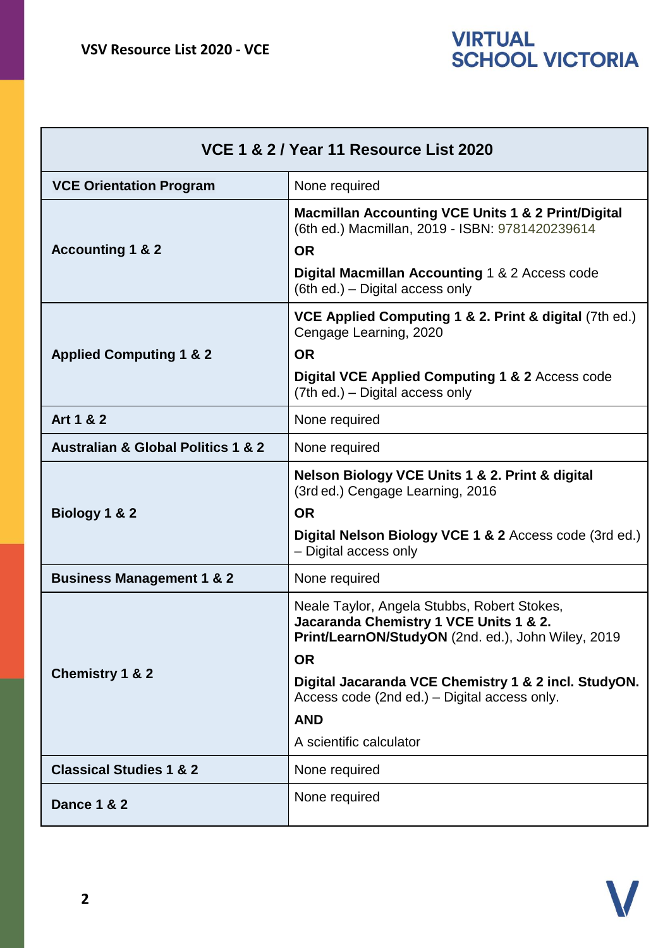| VCE 1 & 2 / Year 11 Resource List 2020            |                                                                                                                                                                                                                                                                                                           |
|---------------------------------------------------|-----------------------------------------------------------------------------------------------------------------------------------------------------------------------------------------------------------------------------------------------------------------------------------------------------------|
| <b>VCE Orientation Program</b>                    | None required                                                                                                                                                                                                                                                                                             |
| <b>Accounting 1 &amp; 2</b>                       | <b>Macmillan Accounting VCE Units 1 &amp; 2 Print/Digital</b><br>(6th ed.) Macmillan, 2019 - ISBN: 9781420239614<br><b>OR</b><br>Digital Macmillan Accounting 1 & 2 Access code<br>(6th ed.) – Digital access only                                                                                        |
| <b>Applied Computing 1 &amp; 2</b>                | VCE Applied Computing 1 & 2. Print & digital (7th ed.)<br>Cengage Learning, 2020<br><b>OR</b><br>Digital VCE Applied Computing 1 & 2 Access code<br>(7th ed.) – Digital access only                                                                                                                       |
| Art 1 & 2                                         | None required                                                                                                                                                                                                                                                                                             |
| <b>Australian &amp; Global Politics 1 &amp; 2</b> | None required                                                                                                                                                                                                                                                                                             |
| Biology 1 & 2                                     | Nelson Biology VCE Units 1 & 2. Print & digital<br>(3rd ed.) Cengage Learning, 2016<br><b>OR</b><br>Digital Nelson Biology VCE 1 & 2 Access code (3rd ed.)<br>- Digital access only                                                                                                                       |
| <b>Business Management 1 &amp; 2</b>              | None required                                                                                                                                                                                                                                                                                             |
| <b>Chemistry 1 &amp; 2</b>                        | Neale Taylor, Angela Stubbs, Robert Stokes,<br>Jacaranda Chemistry 1 VCE Units 1 & 2.<br>Print/LearnON/StudyON (2nd. ed.), John Wiley, 2019<br><b>OR</b><br>Digital Jacaranda VCE Chemistry 1 & 2 incl. StudyON.<br>Access code (2nd ed.) – Digital access only.<br><b>AND</b><br>A scientific calculator |
| <b>Classical Studies 1 &amp; 2</b>                | None required                                                                                                                                                                                                                                                                                             |
| <b>Dance 1 &amp; 2</b>                            | None required                                                                                                                                                                                                                                                                                             |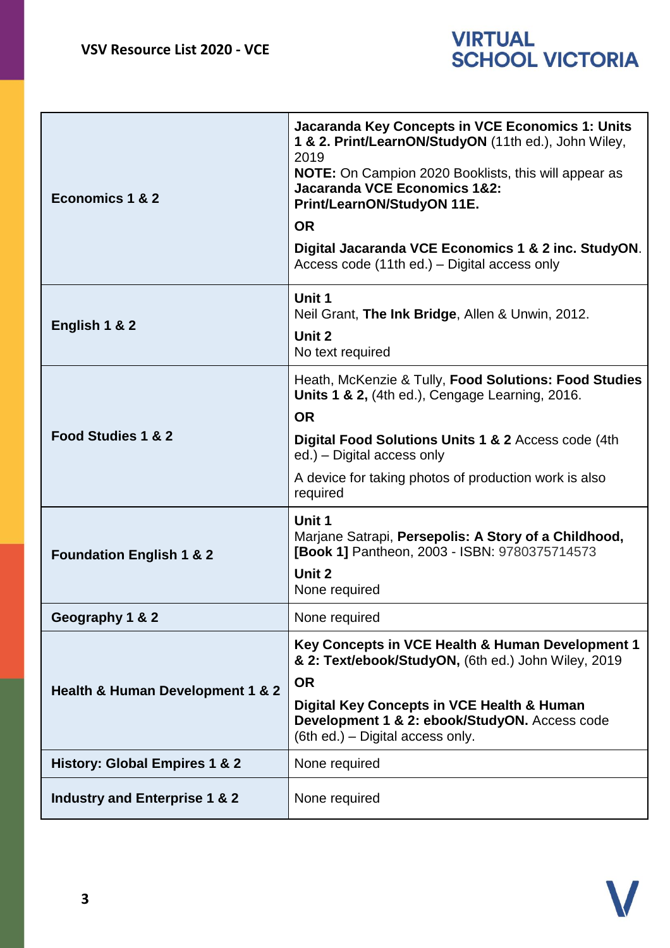| Economics 1 & 2                          | Jacaranda Key Concepts in VCE Economics 1: Units<br>1 & 2. Print/LearnON/StudyON (11th ed.), John Wiley,<br>2019<br>NOTE: On Campion 2020 Booklists, this will appear as<br><b>Jacaranda VCE Economics 1&amp;2:</b><br>Print/LearnON/StudyON 11E.<br><b>OR</b><br>Digital Jacaranda VCE Economics 1 & 2 inc. StudyON.<br>Access code (11th ed.) – Digital access only |
|------------------------------------------|-----------------------------------------------------------------------------------------------------------------------------------------------------------------------------------------------------------------------------------------------------------------------------------------------------------------------------------------------------------------------|
| English 1 & 2                            | Unit 1<br>Neil Grant, The Ink Bridge, Allen & Unwin, 2012.<br>Unit 2<br>No text required                                                                                                                                                                                                                                                                              |
| Food Studies 1 & 2                       | Heath, McKenzie & Tully, Food Solutions: Food Studies<br>Units 1 & 2, (4th ed.), Cengage Learning, 2016.<br><b>OR</b><br>Digital Food Solutions Units 1 & 2 Access code (4th<br>ed.) - Digital access only<br>A device for taking photos of production work is also<br>required                                                                                       |
| <b>Foundation English 1 &amp; 2</b>      | Unit 1<br>Marjane Satrapi, Persepolis: A Story of a Childhood,<br>[Book 1] Pantheon, 2003 - ISBN: 9780375714573<br>Unit 2<br>None required                                                                                                                                                                                                                            |
| Geography 1 & 2                          | None required                                                                                                                                                                                                                                                                                                                                                         |
| Health & Human Development 1 & 2         | Key Concepts in VCE Health & Human Development 1<br>& 2: Text/ebook/StudyON, (6th ed.) John Wiley, 2019<br><b>OR</b><br>Digital Key Concepts in VCE Health & Human<br>Development 1 & 2: ebook/StudyON. Access code<br>(6th ed.) - Digital access only.                                                                                                               |
| <b>History: Global Empires 1 &amp; 2</b> | None required                                                                                                                                                                                                                                                                                                                                                         |
| Industry and Enterprise 1 & 2            | None required                                                                                                                                                                                                                                                                                                                                                         |

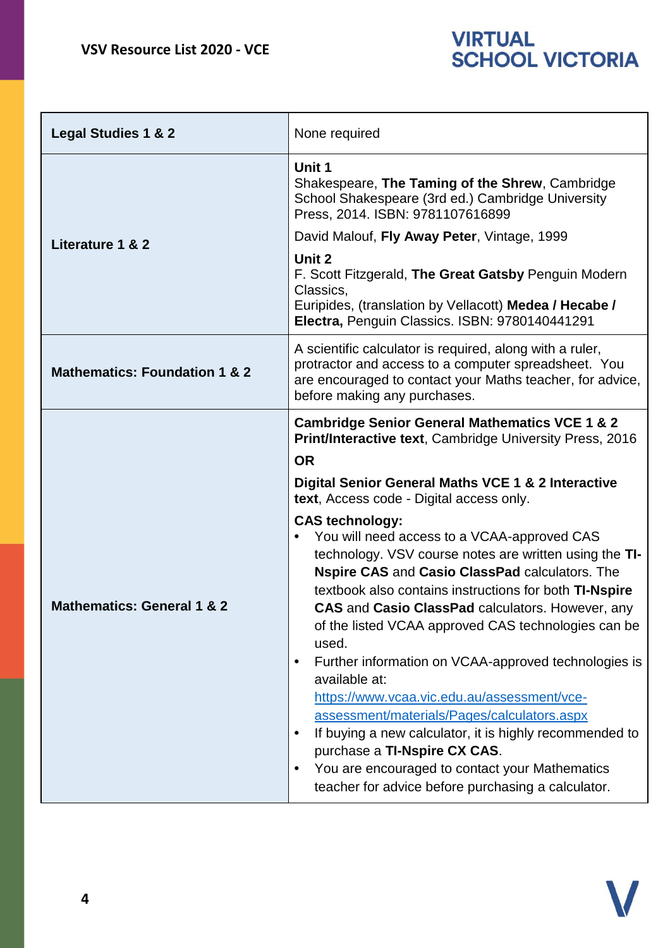| <b>Legal Studies 1 &amp; 2</b>           | None required                                                                                                                                                                                                                                                                                                                                                                                                                                                                                                                                                                                                                                                                                                                                                                                                                                                                                                                                                                                                                                 |
|------------------------------------------|-----------------------------------------------------------------------------------------------------------------------------------------------------------------------------------------------------------------------------------------------------------------------------------------------------------------------------------------------------------------------------------------------------------------------------------------------------------------------------------------------------------------------------------------------------------------------------------------------------------------------------------------------------------------------------------------------------------------------------------------------------------------------------------------------------------------------------------------------------------------------------------------------------------------------------------------------------------------------------------------------------------------------------------------------|
|                                          | Unit 1<br>Shakespeare, The Taming of the Shrew, Cambridge<br>School Shakespeare (3rd ed.) Cambridge University<br>Press, 2014. ISBN: 9781107616899                                                                                                                                                                                                                                                                                                                                                                                                                                                                                                                                                                                                                                                                                                                                                                                                                                                                                            |
| Literature 1 & 2                         | David Malouf, Fly Away Peter, Vintage, 1999                                                                                                                                                                                                                                                                                                                                                                                                                                                                                                                                                                                                                                                                                                                                                                                                                                                                                                                                                                                                   |
|                                          | Unit 2<br>F. Scott Fitzgerald, The Great Gatsby Penguin Modern<br>Classics,<br>Euripides, (translation by Vellacott) Medea / Hecabe /<br>Electra, Penguin Classics. ISBN: 9780140441291                                                                                                                                                                                                                                                                                                                                                                                                                                                                                                                                                                                                                                                                                                                                                                                                                                                       |
| <b>Mathematics: Foundation 1 &amp; 2</b> | A scientific calculator is required, along with a ruler,<br>protractor and access to a computer spreadsheet. You<br>are encouraged to contact your Maths teacher, for advice,<br>before making any purchases.                                                                                                                                                                                                                                                                                                                                                                                                                                                                                                                                                                                                                                                                                                                                                                                                                                 |
| <b>Mathematics: General 1 &amp; 2</b>    | <b>Cambridge Senior General Mathematics VCE 1 &amp; 2</b><br><b>Print/Interactive text, Cambridge University Press, 2016</b><br><b>OR</b><br>Digital Senior General Maths VCE 1 & 2 Interactive<br>text, Access code - Digital access only.<br><b>CAS technology:</b><br>You will need access to a VCAA-approved CAS<br>technology. VSV course notes are written using the TI-<br>Nspire CAS and Casio ClassPad calculators. The<br>textbook also contains instructions for both <b>TI-Nspire</b><br><b>CAS</b> and Casio ClassPad calculators. However, any<br>of the listed VCAA approved CAS technologies can be<br>used.<br>Further information on VCAA-approved technologies is<br>$\bullet$<br>available at:<br>https://www.vcaa.vic.edu.au/assessment/vce-<br>assessment/materials/Pages/calculators.aspx<br>If buying a new calculator, it is highly recommended to<br>$\bullet$<br>purchase a TI-Nspire CX CAS.<br>You are encouraged to contact your Mathematics<br>$\bullet$<br>teacher for advice before purchasing a calculator. |

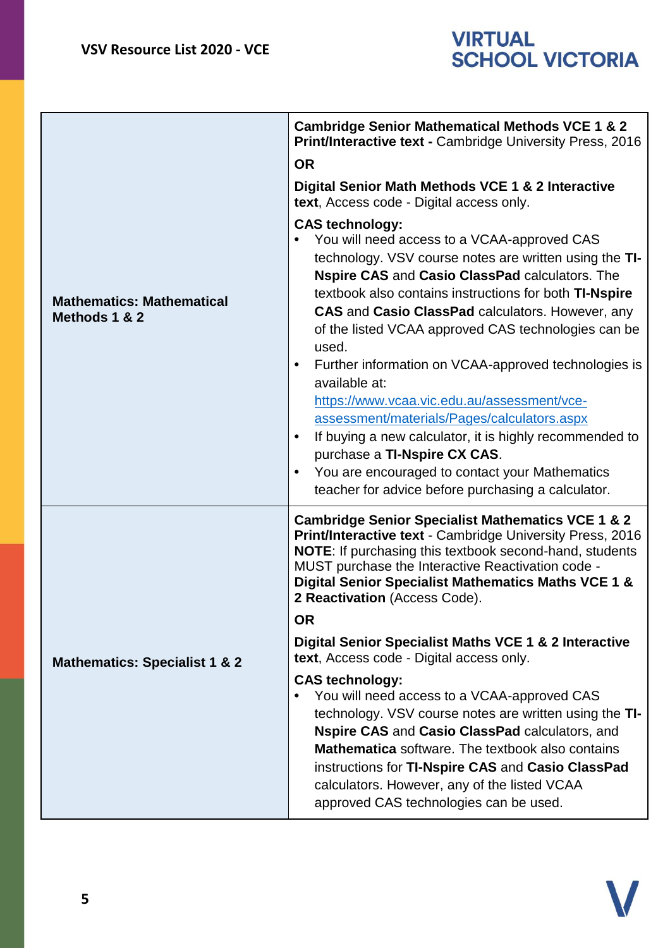|                                                   | <b>Cambridge Senior Mathematical Methods VCE 1 &amp; 2</b><br><b>Print/Interactive text - Cambridge University Press, 2016</b><br><b>OR</b>                                                                                                                                                                                                                                                                                                                                                                                                                                                                                                                                                                                                                                                           |
|---------------------------------------------------|-------------------------------------------------------------------------------------------------------------------------------------------------------------------------------------------------------------------------------------------------------------------------------------------------------------------------------------------------------------------------------------------------------------------------------------------------------------------------------------------------------------------------------------------------------------------------------------------------------------------------------------------------------------------------------------------------------------------------------------------------------------------------------------------------------|
|                                                   | Digital Senior Math Methods VCE 1 & 2 Interactive<br>text, Access code - Digital access only.                                                                                                                                                                                                                                                                                                                                                                                                                                                                                                                                                                                                                                                                                                         |
| <b>Mathematics: Mathematical</b><br>Methods 1 & 2 | <b>CAS technology:</b><br>You will need access to a VCAA-approved CAS<br>technology. VSV course notes are written using the TI-<br>Nspire CAS and Casio ClassPad calculators. The<br>textbook also contains instructions for both <b>TI-Nspire</b><br><b>CAS</b> and <b>Casio ClassPad</b> calculators. However, any<br>of the listed VCAA approved CAS technologies can be<br>used.<br>Further information on VCAA-approved technologies is<br>$\bullet$<br>available at:<br>https://www.vcaa.vic.edu.au/assessment/vce-<br>assessment/materials/Pages/calculators.aspx<br>If buying a new calculator, it is highly recommended to<br>$\bullet$<br>purchase a TI-Nspire CX CAS.<br>You are encouraged to contact your Mathematics<br>$\bullet$<br>teacher for advice before purchasing a calculator. |
|                                                   | <b>Cambridge Senior Specialist Mathematics VCE 1 &amp; 2</b><br>Print/Interactive text - Cambridge University Press, 2016<br>NOTE: If purchasing this textbook second-hand, students<br>MUST purchase the Interactive Reactivation code -<br>Digital Senior Specialist Mathematics Maths VCE 1 &<br>2 Reactivation (Access Code).<br><b>OR</b>                                                                                                                                                                                                                                                                                                                                                                                                                                                        |
| <b>Mathematics: Specialist 1 &amp; 2</b>          | Digital Senior Specialist Maths VCE 1 & 2 Interactive<br>text, Access code - Digital access only.                                                                                                                                                                                                                                                                                                                                                                                                                                                                                                                                                                                                                                                                                                     |
|                                                   | <b>CAS technology:</b><br>You will need access to a VCAA-approved CAS<br>$\bullet$<br>technology. VSV course notes are written using the TI-<br>Nspire CAS and Casio ClassPad calculators, and<br><b>Mathematica</b> software. The textbook also contains<br>instructions for TI-Nspire CAS and Casio ClassPad<br>calculators. However, any of the listed VCAA<br>approved CAS technologies can be used.                                                                                                                                                                                                                                                                                                                                                                                              |

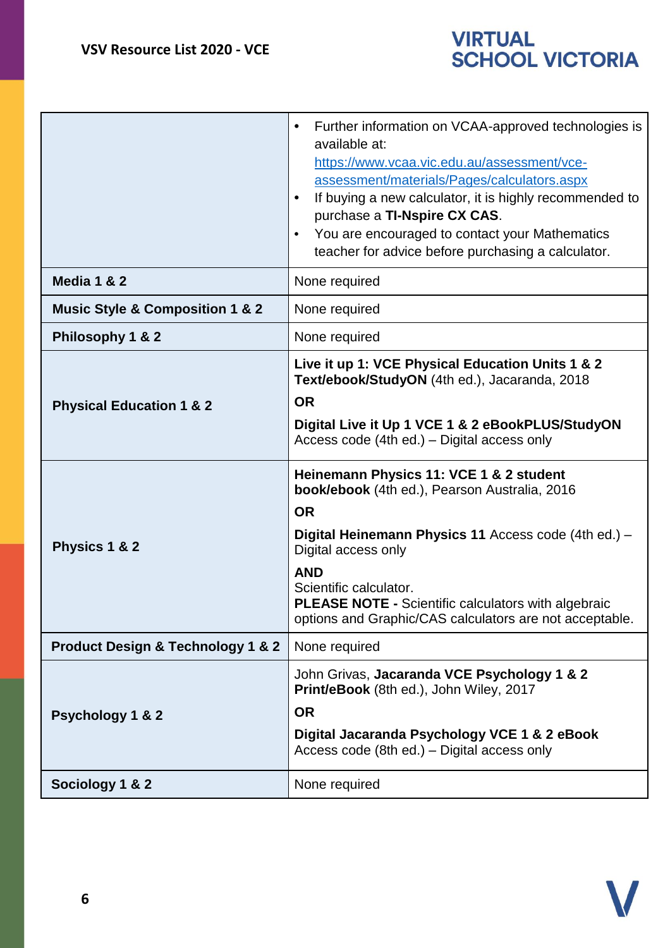

|                                                  | Further information on VCAA-approved technologies is<br>available at:<br>https://www.vcaa.vic.edu.au/assessment/vce-<br>assessment/materials/Pages/calculators.aspx<br>If buying a new calculator, it is highly recommended to<br>purchase a TI-Nspire CX CAS.<br>You are encouraged to contact your Mathematics<br>teacher for advice before purchasing a calculator. |
|--------------------------------------------------|------------------------------------------------------------------------------------------------------------------------------------------------------------------------------------------------------------------------------------------------------------------------------------------------------------------------------------------------------------------------|
| Media 1 & 2                                      | None required                                                                                                                                                                                                                                                                                                                                                          |
| <b>Music Style &amp; Composition 1 &amp; 2</b>   | None required                                                                                                                                                                                                                                                                                                                                                          |
| Philosophy 1 & 2                                 | None required                                                                                                                                                                                                                                                                                                                                                          |
| <b>Physical Education 1 &amp; 2</b>              | Live it up 1: VCE Physical Education Units 1 & 2<br>Text/ebook/StudyON (4th ed.), Jacaranda, 2018<br><b>OR</b><br>Digital Live it Up 1 VCE 1 & 2 eBookPLUS/StudyON<br>Access code (4th ed.) – Digital access only                                                                                                                                                      |
| Physics 1 & 2                                    | Heinemann Physics 11: VCE 1 & 2 student<br><b>book/ebook</b> (4th ed.), Pearson Australia, 2016<br><b>OR</b><br>Digital Heinemann Physics 11 Access code (4th ed.) -<br>Digital access only<br><b>AND</b><br>Scientific calculator.<br><b>PLEASE NOTE - Scientific calculators with algebraic</b><br>options and Graphic/CAS calculators are not acceptable.           |
| <b>Product Design &amp; Technology 1 &amp; 2</b> | None required                                                                                                                                                                                                                                                                                                                                                          |
| <b>Psychology 1 &amp; 2</b>                      | John Grivas, Jacaranda VCE Psychology 1 & 2<br>Print/eBook (8th ed.), John Wiley, 2017<br><b>OR</b><br>Digital Jacaranda Psychology VCE 1 & 2 eBook<br>Access code (8th ed.) – Digital access only                                                                                                                                                                     |
| Sociology 1 & 2                                  | None required                                                                                                                                                                                                                                                                                                                                                          |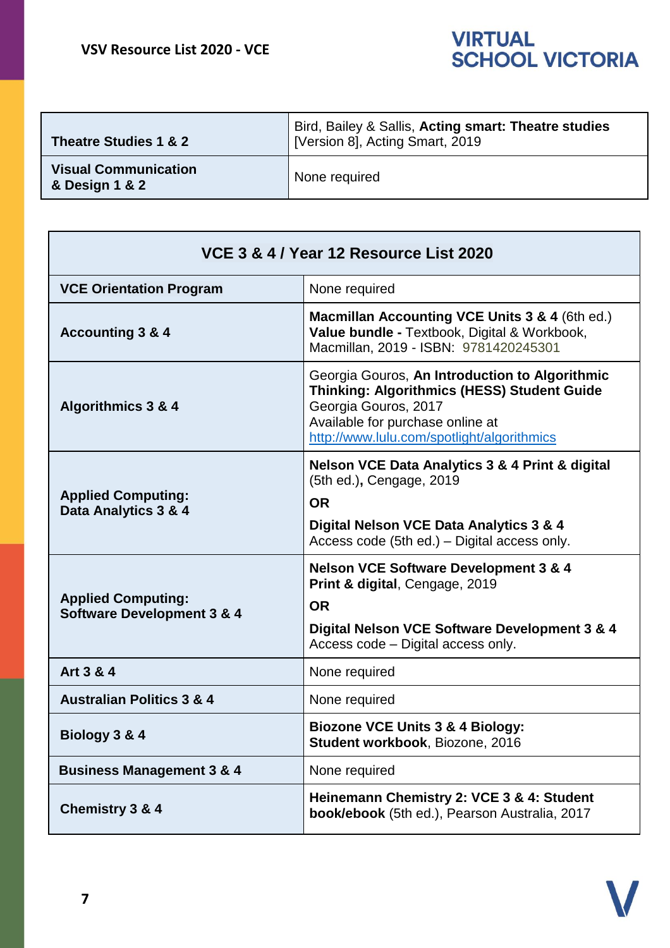

| Theatre Studies 1 & 2                         | Bird, Bailey & Sallis, Acting smart: Theatre studies<br>[Version 8], Acting Smart, 2019 |
|-----------------------------------------------|-----------------------------------------------------------------------------------------|
| <b>Visual Communication</b><br>& Design 1 & 2 | None required                                                                           |

| VCE 3 & 4 / Year 12 Resource List 2020                             |                                                                                                                                                                                                                |
|--------------------------------------------------------------------|----------------------------------------------------------------------------------------------------------------------------------------------------------------------------------------------------------------|
| <b>VCE Orientation Program</b>                                     | None required                                                                                                                                                                                                  |
| <b>Accounting 3 &amp; 4</b>                                        | Macmillan Accounting VCE Units 3 & 4 (6th ed.)<br>Value bundle - Textbook, Digital & Workbook,<br>Macmillan, 2019 - ISBN: 9781420245301                                                                        |
| Algorithmics 3 & 4                                                 | Georgia Gouros, An Introduction to Algorithmic<br><b>Thinking: Algorithmics (HESS) Student Guide</b><br>Georgia Gouros, 2017<br>Available for purchase online at<br>http://www.lulu.com/spotlight/algorithmics |
| <b>Applied Computing:</b><br>Data Analytics 3 & 4                  | <b>Nelson VCE Data Analytics 3 &amp; 4 Print &amp; digital</b><br>(5th ed.), Cengage, 2019<br><b>OR</b><br>Digital Nelson VCE Data Analytics 3 & 4<br>Access code (5th ed.) – Digital access only.             |
| <b>Applied Computing:</b><br><b>Software Development 3 &amp; 4</b> | <b>Nelson VCE Software Development 3 &amp; 4</b><br><b>Print &amp; digital, Cengage, 2019</b><br><b>OR</b><br>Digital Nelson VCE Software Development 3 & 4<br>Access code - Digital access only.              |
| Art 3 & 4                                                          | None required                                                                                                                                                                                                  |
| <b>Australian Politics 3 &amp; 4</b>                               | None required                                                                                                                                                                                                  |
| Biology 3 & 4                                                      | <b>Biozone VCE Units 3 &amp; 4 Biology:</b><br>Student workbook, Biozone, 2016                                                                                                                                 |
| <b>Business Management 3 &amp; 4</b>                               | None required                                                                                                                                                                                                  |
| Chemistry 3 & 4                                                    | Heinemann Chemistry 2: VCE 3 & 4: Student<br>book/ebook (5th ed.), Pearson Australia, 2017                                                                                                                     |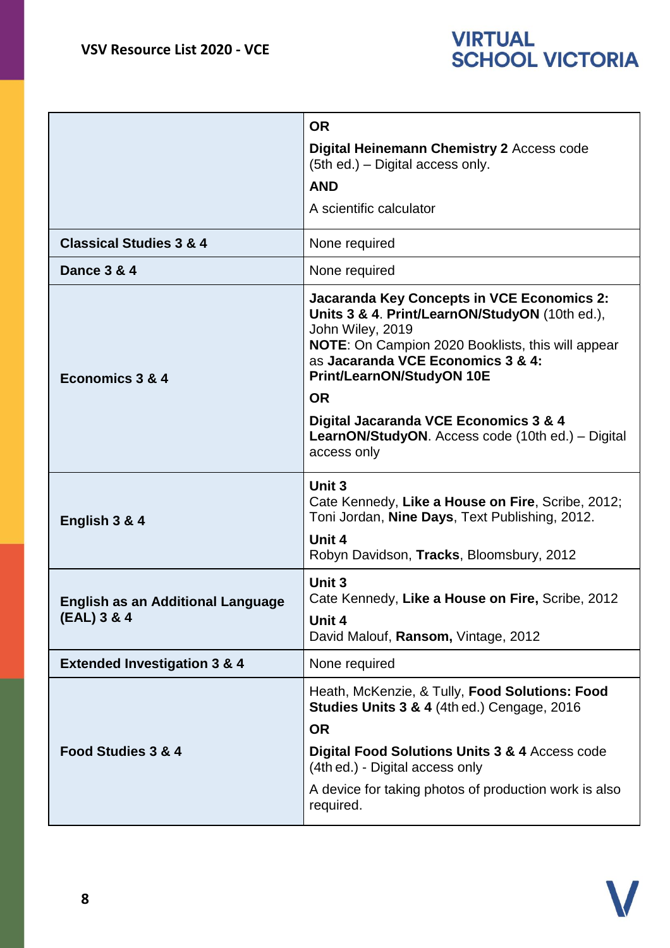

|                                                         | <b>OR</b><br>Digital Heinemann Chemistry 2 Access code<br>(5th ed.) – Digital access only.<br><b>AND</b><br>A scientific calculator                                                                                                                                                                                                                                                    |
|---------------------------------------------------------|----------------------------------------------------------------------------------------------------------------------------------------------------------------------------------------------------------------------------------------------------------------------------------------------------------------------------------------------------------------------------------------|
| <b>Classical Studies 3 &amp; 4</b>                      | None required                                                                                                                                                                                                                                                                                                                                                                          |
| Dance 3 & 4                                             | None required                                                                                                                                                                                                                                                                                                                                                                          |
| Economics 3 & 4                                         | <b>Jacaranda Key Concepts in VCE Economics 2:</b><br>Units 3 & 4. Print/LearnON/StudyON (10th ed.),<br>John Wiley, 2019<br>NOTE: On Campion 2020 Booklists, this will appear<br>as Jacaranda VCE Economics 3 & 4:<br><b>Print/LearnON/StudyON 10E</b><br><b>OR</b><br>Digital Jacaranda VCE Economics 3 & 4<br><b>LearnON/StudyON.</b> Access code (10th ed.) – Digital<br>access only |
| English 3 & 4                                           | Unit 3<br>Cate Kennedy, Like a House on Fire, Scribe, 2012;<br>Toni Jordan, Nine Days, Text Publishing, 2012.<br>Unit 4<br>Robyn Davidson, Tracks, Bloomsbury, 2012                                                                                                                                                                                                                    |
| <b>English as an Additional Language</b><br>(EAL) 3 & 4 | Unit 3<br>Cate Kennedy, Like a House on Fire, Scribe, 2012<br>Unit 4<br>David Malouf, Ransom, Vintage, 2012                                                                                                                                                                                                                                                                            |
| <b>Extended Investigation 3 &amp; 4</b>                 | None required                                                                                                                                                                                                                                                                                                                                                                          |
| Food Studies 3 & 4                                      | Heath, McKenzie, & Tully, Food Solutions: Food<br><b>Studies Units 3 &amp; 4 (4th ed.) Cengage, 2016</b><br><b>OR</b><br>Digital Food Solutions Units 3 & 4 Access code<br>(4th ed.) - Digital access only<br>A device for taking photos of production work is also<br>required.                                                                                                       |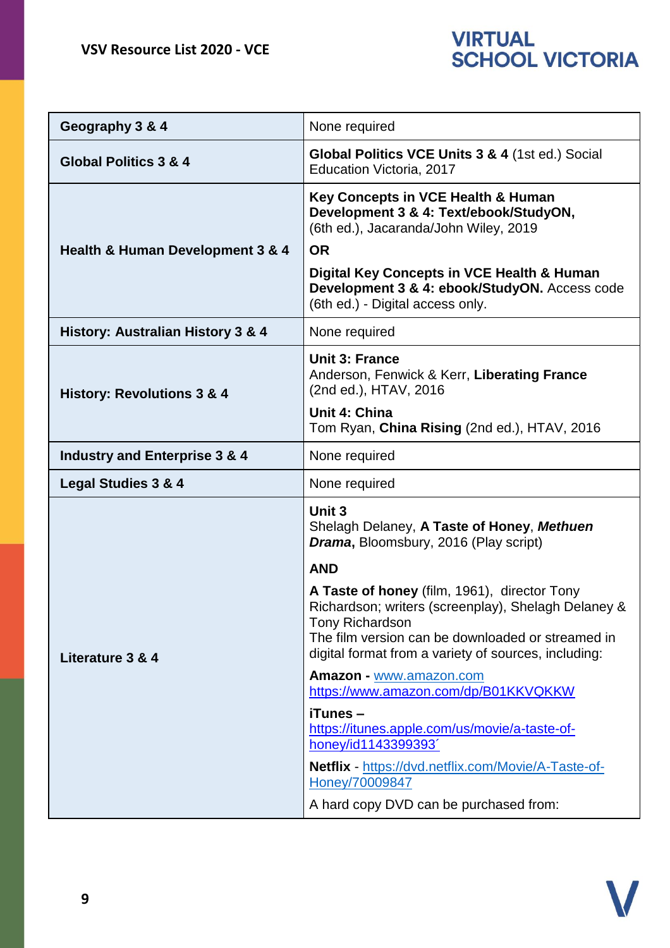| Geography 3 & 4                          | None required                                                                                                                                                                                                                       |
|------------------------------------------|-------------------------------------------------------------------------------------------------------------------------------------------------------------------------------------------------------------------------------------|
| <b>Global Politics 3 &amp; 4</b>         | Global Politics VCE Units 3 & 4 (1st ed.) Social<br>Education Victoria, 2017                                                                                                                                                        |
|                                          | Key Concepts in VCE Health & Human<br>Development 3 & 4: Text/ebook/StudyON,<br>(6th ed.), Jacaranda/John Wiley, 2019                                                                                                               |
| Health & Human Development 3 & 4         | <b>OR</b>                                                                                                                                                                                                                           |
|                                          | Digital Key Concepts in VCE Health & Human<br>Development 3 & 4: ebook/StudyON. Access code<br>(6th ed.) - Digital access only.                                                                                                     |
| History: Australian History 3 & 4        | None required                                                                                                                                                                                                                       |
| <b>History: Revolutions 3 &amp; 4</b>    | <b>Unit 3: France</b><br>Anderson, Fenwick & Kerr, Liberating France<br>(2nd ed.), HTAV, 2016                                                                                                                                       |
|                                          | Unit 4: China<br>Tom Ryan, China Rising (2nd ed.), HTAV, 2016                                                                                                                                                                       |
| <b>Industry and Enterprise 3 &amp; 4</b> | None required                                                                                                                                                                                                                       |
| <b>Legal Studies 3 &amp; 4</b>           | None required                                                                                                                                                                                                                       |
| Literature 3 & 4                         | Unit 3<br>Shelagh Delaney, A Taste of Honey, Methuen<br>Drama, Bloomsbury, 2016 (Play script)                                                                                                                                       |
|                                          | <b>AND</b>                                                                                                                                                                                                                          |
|                                          | A Taste of honey (film, 1961), director Tony<br>Richardson; writers (screenplay), Shelagh Delaney &<br>Tony Richardson<br>The film version can be downloaded or streamed in<br>digital format from a variety of sources, including: |
|                                          | Amazon - www.amazon.com<br>https://www.amazon.com/dp/B01KKVQKKW                                                                                                                                                                     |
|                                          | iTunes-<br>https://itunes.apple.com/us/movie/a-taste-of-<br>honey/id1143399393'                                                                                                                                                     |
|                                          | <b>Netflix</b> - https://dvd.netflix.com/Movie/A-Taste-of-<br>Honey/70009847                                                                                                                                                        |
|                                          | A hard copy DVD can be purchased from:                                                                                                                                                                                              |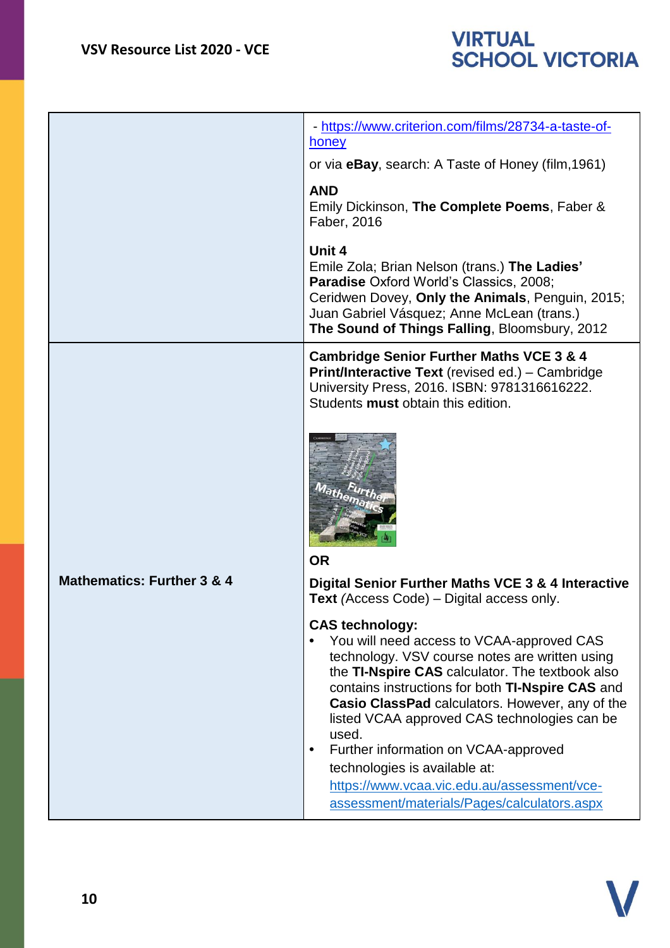

|                                       | - https://www.criterion.com/films/28734-a-taste-of-<br>honey<br>or via <b>eBay</b> , search: A Taste of Honey (film, 1961)                                                                                                                                                                                                                                                                                                                                                                                                   |
|---------------------------------------|------------------------------------------------------------------------------------------------------------------------------------------------------------------------------------------------------------------------------------------------------------------------------------------------------------------------------------------------------------------------------------------------------------------------------------------------------------------------------------------------------------------------------|
|                                       | <b>AND</b><br>Emily Dickinson, The Complete Poems, Faber &<br>Faber, 2016                                                                                                                                                                                                                                                                                                                                                                                                                                                    |
|                                       | Unit 4<br>Emile Zola; Brian Nelson (trans.) The Ladies'<br>Paradise Oxford World's Classics, 2008;<br>Ceridwen Dovey, Only the Animals, Penguin, 2015;<br>Juan Gabriel Vásquez; Anne McLean (trans.)<br>The Sound of Things Falling, Bloomsbury, 2012                                                                                                                                                                                                                                                                        |
|                                       | <b>Cambridge Senior Further Maths VCE 3 &amp; 4</b><br><b>Print/Interactive Text (revised ed.) - Cambridge</b><br>University Press, 2016. ISBN: 9781316616222.<br>Students must obtain this edition.                                                                                                                                                                                                                                                                                                                         |
|                                       |                                                                                                                                                                                                                                                                                                                                                                                                                                                                                                                              |
| <b>Mathematics: Further 3 &amp; 4</b> | <b>OR</b><br>Digital Senior Further Maths VCE 3 & 4 Interactive<br><b>Text</b> (Access Code) – Digital access only.                                                                                                                                                                                                                                                                                                                                                                                                          |
|                                       | <b>CAS technology:</b><br>You will need access to VCAA-approved CAS<br>technology. VSV course notes are written using<br>the TI-Nspire CAS calculator. The textbook also<br>contains instructions for both TI-Nspire CAS and<br>Casio ClassPad calculators. However, any of the<br>listed VCAA approved CAS technologies can be<br>used.<br>Further information on VCAA-approved<br>$\bullet$<br>technologies is available at:<br>https://www.vcaa.vic.edu.au/assessment/vce-<br>assessment/materials/Pages/calculators.aspx |

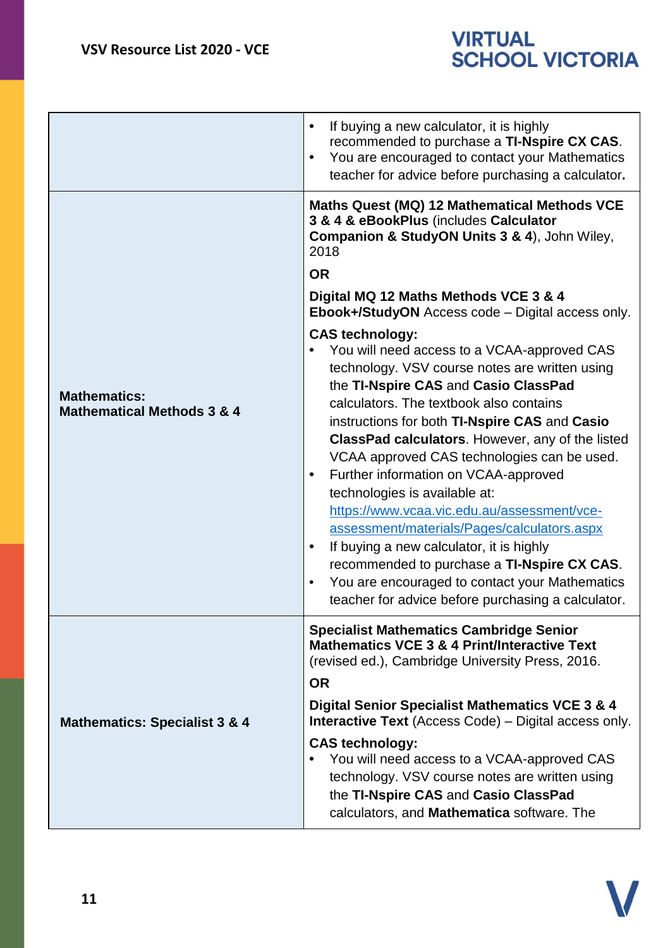|                                                              | If buying a new calculator, it is highly<br>$\bullet$<br>recommended to purchase a TI-Nspire CX CAS.<br>You are encouraged to contact your Mathematics<br>$\bullet$<br>teacher for advice before purchasing a calculator.                                                                                                                                                                                                                                                                                                                                                                                                                                                                                                                                                                                                                                                                                                                                                                                                                     |
|--------------------------------------------------------------|-----------------------------------------------------------------------------------------------------------------------------------------------------------------------------------------------------------------------------------------------------------------------------------------------------------------------------------------------------------------------------------------------------------------------------------------------------------------------------------------------------------------------------------------------------------------------------------------------------------------------------------------------------------------------------------------------------------------------------------------------------------------------------------------------------------------------------------------------------------------------------------------------------------------------------------------------------------------------------------------------------------------------------------------------|
| <b>Mathematics:</b><br><b>Mathematical Methods 3 &amp; 4</b> | Maths Quest (MQ) 12 Mathematical Methods VCE<br>3 & 4 & eBookPlus (includes Calculator<br>Companion & StudyON Units 3 & 4), John Wiley,<br>2018<br><b>OR</b><br>Digital MQ 12 Maths Methods VCE 3 & 4<br>Ebook+/StudyON Access code - Digital access only.<br><b>CAS technology:</b><br>You will need access to a VCAA-approved CAS<br>technology. VSV course notes are written using<br>the TI-Nspire CAS and Casio ClassPad<br>calculators. The textbook also contains<br>instructions for both TI-Nspire CAS and Casio<br>ClassPad calculators. However, any of the listed<br>VCAA approved CAS technologies can be used.<br>Further information on VCAA-approved<br>$\bullet$<br>technologies is available at:<br>https://www.vcaa.vic.edu.au/assessment/vce-<br>assessment/materials/Pages/calculators.aspx<br>If buying a new calculator, it is highly<br>$\bullet$<br>recommended to purchase a TI-Nspire CX CAS.<br>You are encouraged to contact your Mathematics<br>$\bullet$<br>teacher for advice before purchasing a calculator. |
| <b>Mathematics: Specialist 3 &amp; 4</b>                     | <b>Specialist Mathematics Cambridge Senior</b><br><b>Mathematics VCE 3 &amp; 4 Print/Interactive Text</b><br>(revised ed.), Cambridge University Press, 2016.<br><b>OR</b><br>Digital Senior Specialist Mathematics VCE 3 & 4<br><b>Interactive Text</b> (Access Code) – Digital access only.<br><b>CAS technology:</b><br>You will need access to a VCAA-approved CAS<br>technology. VSV course notes are written using<br>the TI-Nspire CAS and Casio ClassPad<br>calculators, and Mathematica software. The                                                                                                                                                                                                                                                                                                                                                                                                                                                                                                                                |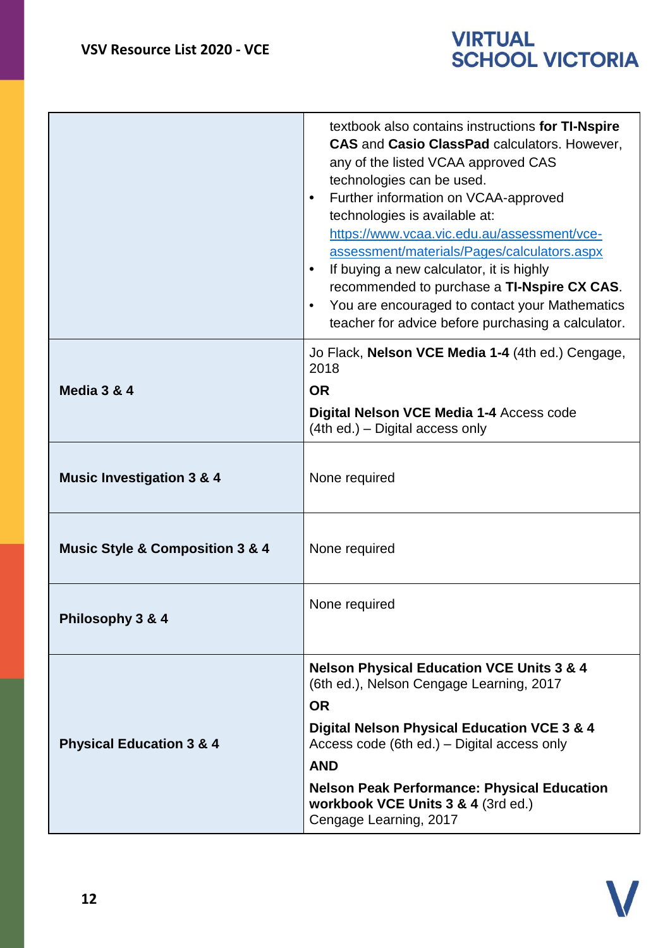|                                                | textbook also contains instructions for TI-Nspire<br><b>CAS and Casio ClassPad calculators. However,</b><br>any of the listed VCAA approved CAS<br>technologies can be used.<br>Further information on VCAA-approved<br>technologies is available at:<br>https://www.vcaa.vic.edu.au/assessment/vce-<br>assessment/materials/Pages/calculators.aspx<br>If buying a new calculator, it is highly<br>recommended to purchase a TI-Nspire CX CAS.<br>You are encouraged to contact your Mathematics<br>$\bullet$<br>teacher for advice before purchasing a calculator. |
|------------------------------------------------|---------------------------------------------------------------------------------------------------------------------------------------------------------------------------------------------------------------------------------------------------------------------------------------------------------------------------------------------------------------------------------------------------------------------------------------------------------------------------------------------------------------------------------------------------------------------|
|                                                | Jo Flack, Nelson VCE Media 1-4 (4th ed.) Cengage,<br>2018                                                                                                                                                                                                                                                                                                                                                                                                                                                                                                           |
| Media 3 & 4                                    | <b>OR</b><br>Digital Nelson VCE Media 1-4 Access code<br>(4th ed.) - Digital access only                                                                                                                                                                                                                                                                                                                                                                                                                                                                            |
| <b>Music Investigation 3 &amp; 4</b>           | None required                                                                                                                                                                                                                                                                                                                                                                                                                                                                                                                                                       |
| <b>Music Style &amp; Composition 3 &amp; 4</b> | None required                                                                                                                                                                                                                                                                                                                                                                                                                                                                                                                                                       |
| Philosophy 3 & 4                               | None required                                                                                                                                                                                                                                                                                                                                                                                                                                                                                                                                                       |
| <b>Physical Education 3 &amp; 4</b>            | <b>Nelson Physical Education VCE Units 3 &amp; 4</b><br>(6th ed.), Nelson Cengage Learning, 2017<br><b>OR</b><br>Digital Nelson Physical Education VCE 3 & 4<br>Access code (6th ed.) – Digital access only<br><b>AND</b><br><b>Nelson Peak Performance: Physical Education</b><br>workbook VCE Units 3 & 4 (3rd ed.)<br>Cengage Learning, 2017                                                                                                                                                                                                                     |